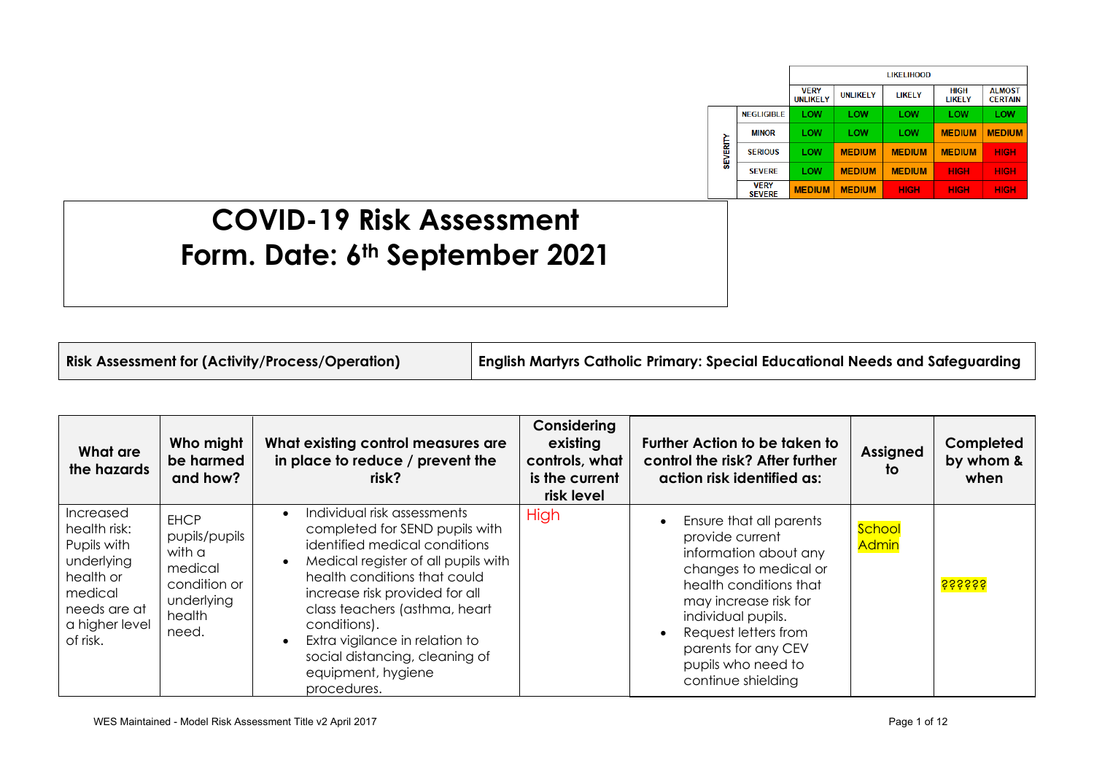|                 |                              |                                |                 | <b>LIKELIHOOD</b> |                       |                                 |  |  |  |
|-----------------|------------------------------|--------------------------------|-----------------|-------------------|-----------------------|---------------------------------|--|--|--|
|                 |                              | <b>VERY</b><br><b>UNLIKELY</b> | <b>UNLIKELY</b> | LIKELY            | <b>HIGH</b><br>LIKELY | <b>ALMOST</b><br><b>CERTAIN</b> |  |  |  |
|                 | <b>NEGLIGIBLE</b>            | LOW                            | LOW             | LOW               | LOW                   | LOW                             |  |  |  |
| <b>SEVERITY</b> | <b>MINOR</b>                 | LOW                            | LOW             | LOW               | <b>MEDIUM</b>         | <b>MEDIUM</b>                   |  |  |  |
|                 | <b>SERIOUS</b>               | LOW                            | <b>MEDIUM</b>   | <b>MEDIUM</b>     | <b>MEDIUM</b>         | <b>HIGH</b>                     |  |  |  |
|                 | <b>SFVFRF</b>                | LOW                            | <b>MEDIUM</b>   | <b>MEDIUM</b>     | <b>HIGH</b>           | <b>HIGH</b>                     |  |  |  |
|                 | <b>VERY</b><br><b>SEVERE</b> | <b>MEDIUM</b>                  | <b>MEDIUM</b>   | <b>HIGH</b>       | <b>HIGH</b>           | <b>HIGH</b>                     |  |  |  |

## **COVID-19 Risk Assessment Form. Date: 6th September 2021**

**Risk Assessment for (Activity/Process/Operation) English Martyrs Catholic Primary: Special Educational Needs and Safeguarding**

| What are<br>the hazards                                                                                                                           | Who might<br>be harmed<br>and how?                                                                 | What existing control measures are<br>in place to reduce / prevent the<br>risk?                                                                                                                                                                                                                                                                                                | Considering<br>existing<br>controls, what<br>is the current<br>risk level | Further Action to be taken to<br>control the risk? After further<br>action risk identified as:                                                                                                                                                                   | <b>Assigned</b><br>to | Completed<br>by whom &<br>when |
|---------------------------------------------------------------------------------------------------------------------------------------------------|----------------------------------------------------------------------------------------------------|--------------------------------------------------------------------------------------------------------------------------------------------------------------------------------------------------------------------------------------------------------------------------------------------------------------------------------------------------------------------------------|---------------------------------------------------------------------------|------------------------------------------------------------------------------------------------------------------------------------------------------------------------------------------------------------------------------------------------------------------|-----------------------|--------------------------------|
| <i><u><b>Increased</b></u></i><br>health risk:<br>Pupils with<br>underlying<br>health or<br>medical<br>needs are at<br>a higher level<br>of risk. | <b>EHCP</b><br>pupils/pupils<br>with a<br>medical<br>condition or<br>underlying<br>health<br>need. | Individual risk assessments<br>$\bullet$<br>completed for SEND pupils with<br>identified medical conditions<br>Medical register of all pupils with<br>health conditions that could<br>increase risk provided for all<br>class teachers (asthma, heart<br>conditions).<br>Extra vigilance in relation to<br>social distancing, cleaning of<br>equipment, hygiene<br>procedures. | High                                                                      | Ensure that all parents<br>provide current<br>information about any<br>changes to medical or<br>health conditions that<br>may increase risk for<br>individual pupils.<br>Request letters from<br>parents for any CEV<br>pupils who need to<br>continue shielding | School<br>Admin       | <mark>śśśśśśś</mark>           |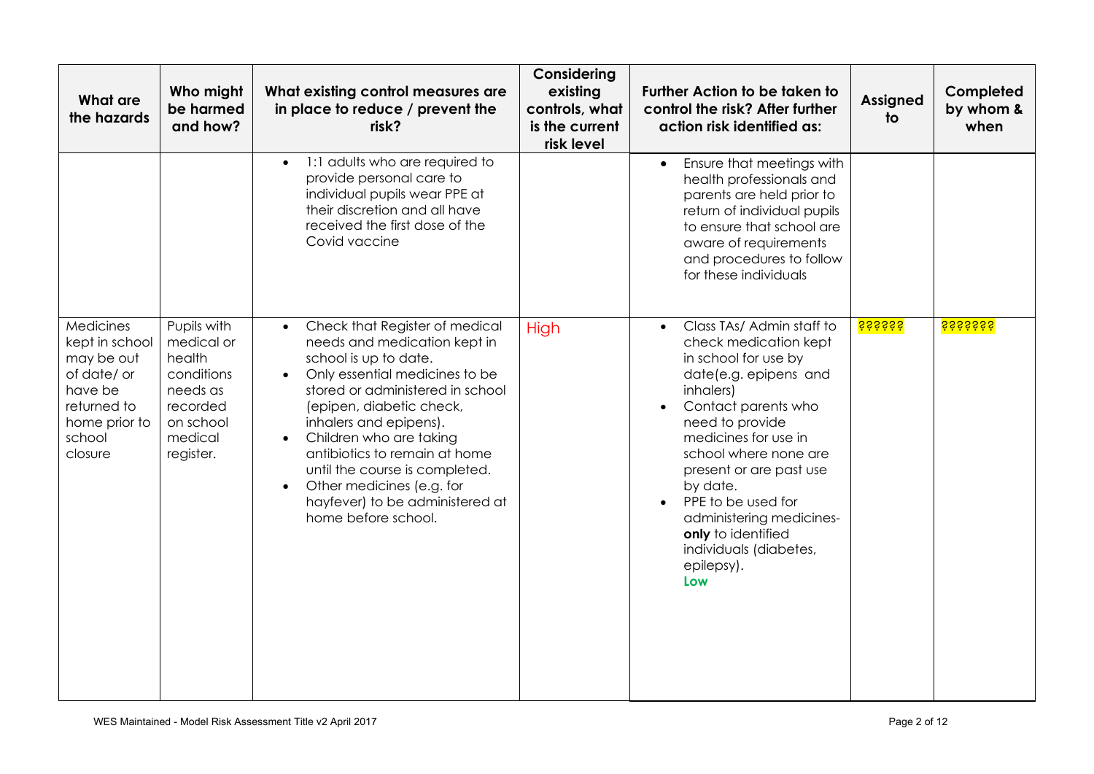| What are<br>the hazards                                                                                                  | Who might<br>be harmed<br>and how?                                                                             | What existing control measures are<br>in place to reduce / prevent the<br>risk?                                                                                                                                                                                                                                                                                                                                                                 | Considering<br>existing<br>controls, what<br>is the current<br>risk level | <b>Further Action to be taken to</b><br>control the risk? After further<br>action risk identified as:                                                                                                                                                                                                                                                                                               | <b>Assigned</b><br>to | Completed<br>by whom &<br>when |
|--------------------------------------------------------------------------------------------------------------------------|----------------------------------------------------------------------------------------------------------------|-------------------------------------------------------------------------------------------------------------------------------------------------------------------------------------------------------------------------------------------------------------------------------------------------------------------------------------------------------------------------------------------------------------------------------------------------|---------------------------------------------------------------------------|-----------------------------------------------------------------------------------------------------------------------------------------------------------------------------------------------------------------------------------------------------------------------------------------------------------------------------------------------------------------------------------------------------|-----------------------|--------------------------------|
|                                                                                                                          |                                                                                                                | 1:1 adults who are required to<br>$\bullet$<br>provide personal care to<br>individual pupils wear PPE at<br>their discretion and all have<br>received the first dose of the<br>Covid vaccine                                                                                                                                                                                                                                                    |                                                                           | Ensure that meetings with<br>health professionals and<br>parents are held prior to<br>return of individual pupils<br>to ensure that school are<br>aware of requirements<br>and procedures to follow<br>for these individuals                                                                                                                                                                        |                       |                                |
| Medicines<br>kept in school<br>may be out<br>of date/ or<br>have be<br>returned to<br>home prior to<br>school<br>closure | Pupils with<br>medical or<br>health<br>conditions<br>needs as<br>recorded<br>on school<br>medical<br>register. | Check that Register of medical<br>$\bullet$<br>needs and medication kept in<br>school is up to date.<br>Only essential medicines to be<br>stored or administered in school<br>(epipen, diabetic check,<br>inhalers and epipens).<br>Children who are taking<br>$\bullet$<br>antibiotics to remain at home<br>until the course is completed.<br>Other medicines (e.g. for<br>$\bullet$<br>hayfever) to be administered at<br>home before school. | High                                                                      | Class TAs/ Admin staff to<br>$\bullet$<br>check medication kept<br>in school for use by<br>date(e.g. epipens and<br>inhalers)<br>Contact parents who<br>need to provide<br>medicines for use in<br>school where none are<br>present or are past use<br>by date.<br>PPE to be used for<br>$\bullet$<br>administering medicines-<br>only to identified<br>individuals (diabetes,<br>epilepsy).<br>Low | <mark>śśśśśśś</mark>  | <mark>śśśśśśśś</mark>          |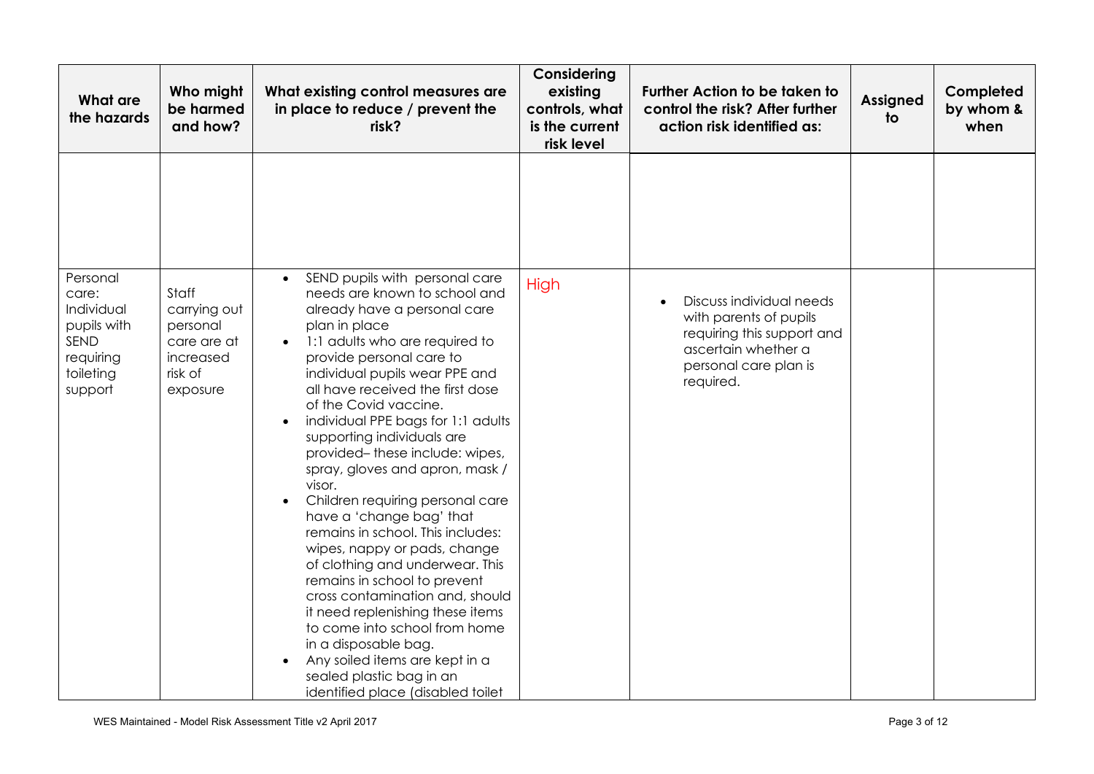| <b>What are</b><br>the hazards                                                              | Who might<br>be harmed<br>and how?                                                   | What existing control measures are<br>in place to reduce / prevent the<br>risk?                                                                                                                                                                                                                                                                                                                                                                                                                                                                                                                                                                                                                                                                                                                                                                                                                                    | Considering<br>existing<br>controls, what<br>is the current<br>risk level | <b>Further Action to be taken to</b><br>control the risk? After further<br>action risk identified as:                                         | <b>Assigned</b><br>to | Completed<br>by whom &<br>when |
|---------------------------------------------------------------------------------------------|--------------------------------------------------------------------------------------|--------------------------------------------------------------------------------------------------------------------------------------------------------------------------------------------------------------------------------------------------------------------------------------------------------------------------------------------------------------------------------------------------------------------------------------------------------------------------------------------------------------------------------------------------------------------------------------------------------------------------------------------------------------------------------------------------------------------------------------------------------------------------------------------------------------------------------------------------------------------------------------------------------------------|---------------------------------------------------------------------------|-----------------------------------------------------------------------------------------------------------------------------------------------|-----------------------|--------------------------------|
|                                                                                             |                                                                                      |                                                                                                                                                                                                                                                                                                                                                                                                                                                                                                                                                                                                                                                                                                                                                                                                                                                                                                                    |                                                                           |                                                                                                                                               |                       |                                |
| Personal<br>care:<br>Individual<br>pupils with<br>SEND<br>requiring<br>toileting<br>support | Staff<br>carrying out<br>personal<br>care are at<br>increased<br>risk of<br>exposure | SEND pupils with personal care<br>$\bullet$<br>needs are known to school and<br>already have a personal care<br>plan in place<br>1:1 adults who are required to<br>provide personal care to<br>individual pupils wear PPE and<br>all have received the first dose<br>of the Covid vaccine.<br>individual PPE bags for 1:1 adults<br>$\bullet$<br>supporting individuals are<br>provided-these include: wipes,<br>spray, gloves and apron, mask /<br>visor.<br>Children requiring personal care<br>have a 'change bag' that<br>remains in school. This includes:<br>wipes, nappy or pads, change<br>of clothing and underwear. This<br>remains in school to prevent<br>cross contamination and, should<br>it need replenishing these items<br>to come into school from home<br>in a disposable bag.<br>Any soiled items are kept in a<br>$\bullet$<br>sealed plastic bag in an<br>identified place (disabled toilet | High                                                                      | Discuss individual needs<br>with parents of pupils<br>requiring this support and<br>ascertain whether a<br>personal care plan is<br>required. |                       |                                |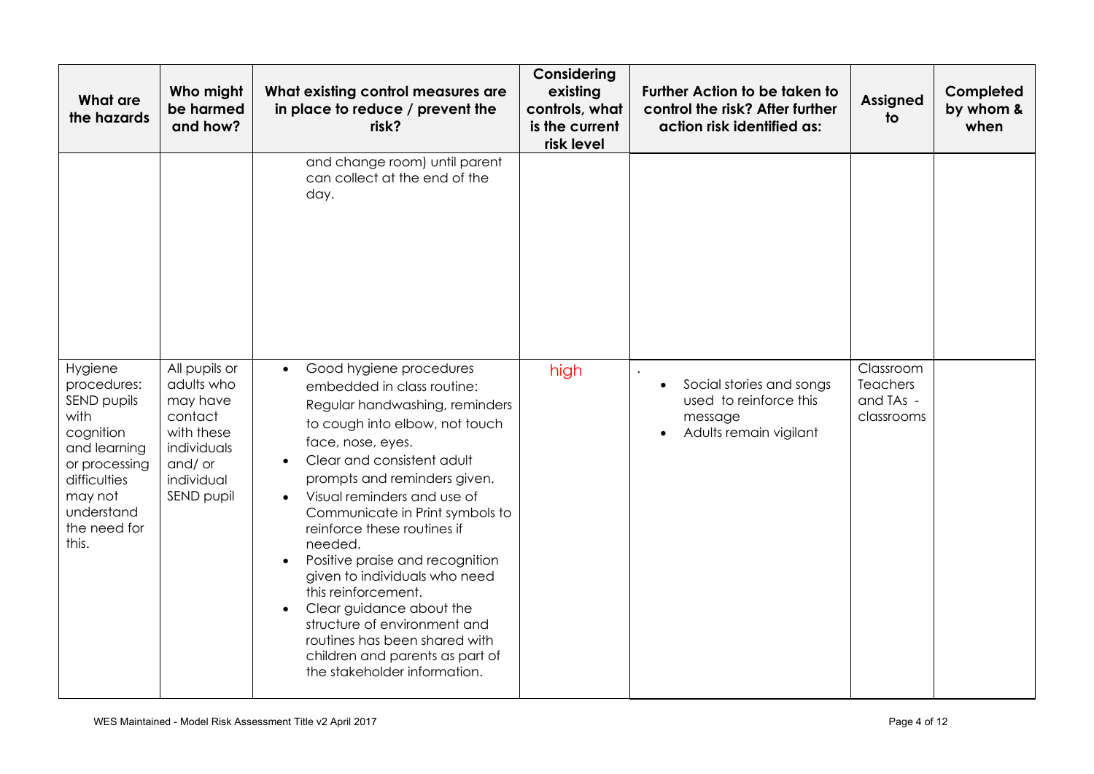| What are<br>the hazards                                                                                                                                       | Who might<br>be harmed<br>and how?                                                                                    | What existing control measures are<br>in place to reduce / prevent the<br>risk?                                                                                                                                                                                                                                                                                                                                                                                                                                                                                                                                                         | Considering<br>existing<br>controls, what<br>is the current<br>risk level | <b>Further Action to be taken to</b><br>control the risk? After further<br>action risk identified as: | <b>Assigned</b><br>to                            | Completed<br>by whom &<br>when |
|---------------------------------------------------------------------------------------------------------------------------------------------------------------|-----------------------------------------------------------------------------------------------------------------------|-----------------------------------------------------------------------------------------------------------------------------------------------------------------------------------------------------------------------------------------------------------------------------------------------------------------------------------------------------------------------------------------------------------------------------------------------------------------------------------------------------------------------------------------------------------------------------------------------------------------------------------------|---------------------------------------------------------------------------|-------------------------------------------------------------------------------------------------------|--------------------------------------------------|--------------------------------|
|                                                                                                                                                               |                                                                                                                       | and change room) until parent<br>can collect at the end of the<br>day.                                                                                                                                                                                                                                                                                                                                                                                                                                                                                                                                                                  |                                                                           |                                                                                                       |                                                  |                                |
| Hygiene<br>procedures:<br>SEND pupils<br>with<br>cognition<br>and learning<br>or processing<br>difficulties<br>may not<br>understand<br>the need for<br>this. | All pupils or<br>adults who<br>may have<br>contact<br>with these<br>individuals<br>and/or<br>individual<br>SEND pupil | Good hygiene procedures<br>$\bullet$<br>embedded in class routine:<br>Regular handwashing, reminders<br>to cough into elbow, not touch<br>face, nose, eyes.<br>Clear and consistent adult<br>prompts and reminders given.<br>Visual reminders and use of<br>$\bullet$<br>Communicate in Print symbols to<br>reinforce these routines if<br>needed.<br>Positive praise and recognition<br>$\bullet$<br>given to individuals who need<br>this reinforcement.<br>Clear guidance about the<br>$\bullet$<br>structure of environment and<br>routines has been shared with<br>children and parents as part of<br>the stakeholder information. | high                                                                      | Social stories and songs<br>$\bullet$<br>used to reinforce this<br>message<br>Adults remain vigilant  | Classroom<br>Teachers<br>and TAs -<br>classrooms |                                |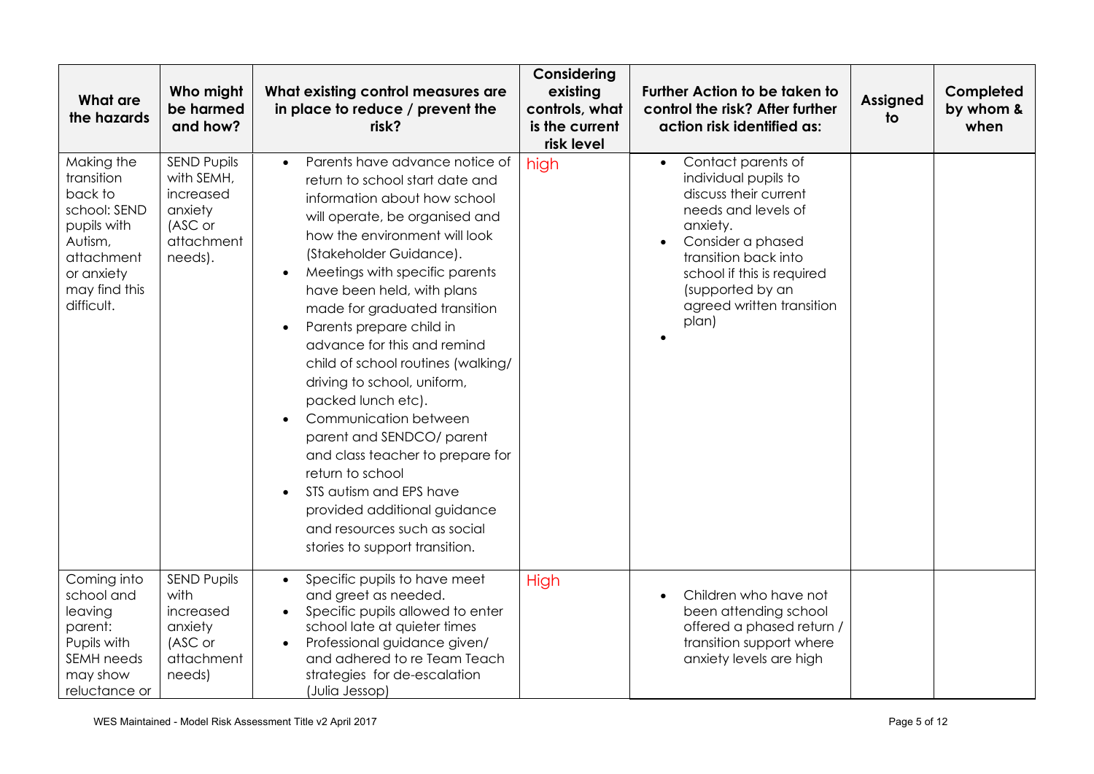| <b>What are</b><br>the hazards                                                                                                           | Who might<br>be harmed<br>and how?                                                           | What existing control measures are<br>in place to reduce / prevent the<br>risk?                                                                                                                                                                                                                                                                                                                                                                                                                                                                                                                                                                                                                                             | Considering<br>existing<br>controls, what<br>is the current<br>risk level | <b>Further Action to be taken to</b><br>control the risk? After further<br>action risk identified as:                                                                                                                                                    | <b>Assigned</b><br>to | Completed<br>by whom &<br>when |
|------------------------------------------------------------------------------------------------------------------------------------------|----------------------------------------------------------------------------------------------|-----------------------------------------------------------------------------------------------------------------------------------------------------------------------------------------------------------------------------------------------------------------------------------------------------------------------------------------------------------------------------------------------------------------------------------------------------------------------------------------------------------------------------------------------------------------------------------------------------------------------------------------------------------------------------------------------------------------------------|---------------------------------------------------------------------------|----------------------------------------------------------------------------------------------------------------------------------------------------------------------------------------------------------------------------------------------------------|-----------------------|--------------------------------|
| Making the<br>transition<br>back to<br>school: SEND<br>pupils with<br>Autism,<br>attachment<br>or anxiety<br>may find this<br>difficult. | <b>SEND Pupils</b><br>with SEMH,<br>increased<br>anxiety<br>(ASC or<br>attachment<br>needs). | Parents have advance notice of<br>return to school start date and<br>information about how school<br>will operate, be organised and<br>how the environment will look<br>(Stakeholder Guidance).<br>Meetings with specific parents<br>$\bullet$<br>have been held, with plans<br>made for graduated transition<br>Parents prepare child in<br>$\bullet$<br>advance for this and remind<br>child of school routines (walking/<br>driving to school, uniform,<br>packed lunch etc).<br>Communication between<br>parent and SENDCO/ parent<br>and class teacher to prepare for<br>return to school<br>STS autism and EPS have<br>provided additional guidance<br>and resources such as social<br>stories to support transition. | high                                                                      | Contact parents of<br>$\bullet$<br>individual pupils to<br>discuss their current<br>needs and levels of<br>anxiety.<br>Consider a phased<br>transition back into<br>school if this is required<br>(supported by an<br>agreed written transition<br>plan) |                       |                                |
| Coming into<br>school and<br>leaving<br>parent:<br>Pupils with<br><b>SEMH</b> needs<br>may show<br>reluctance or                         | <b>SEND Pupils</b><br>with<br>increased<br>anxiety<br>(ASC or<br>attachment<br>needs)        | Specific pupils to have meet<br>$\bullet$<br>and greet as needed.<br>Specific pupils allowed to enter<br>school late at quieter times<br>Professional guidance given/<br>and adhered to re Team Teach<br>strategies for de-escalation<br>(Julia Jessop)                                                                                                                                                                                                                                                                                                                                                                                                                                                                     | High                                                                      | Children who have not<br>$\bullet$<br>been attending school<br>offered a phased return /<br>transition support where<br>anxiety levels are high                                                                                                          |                       |                                |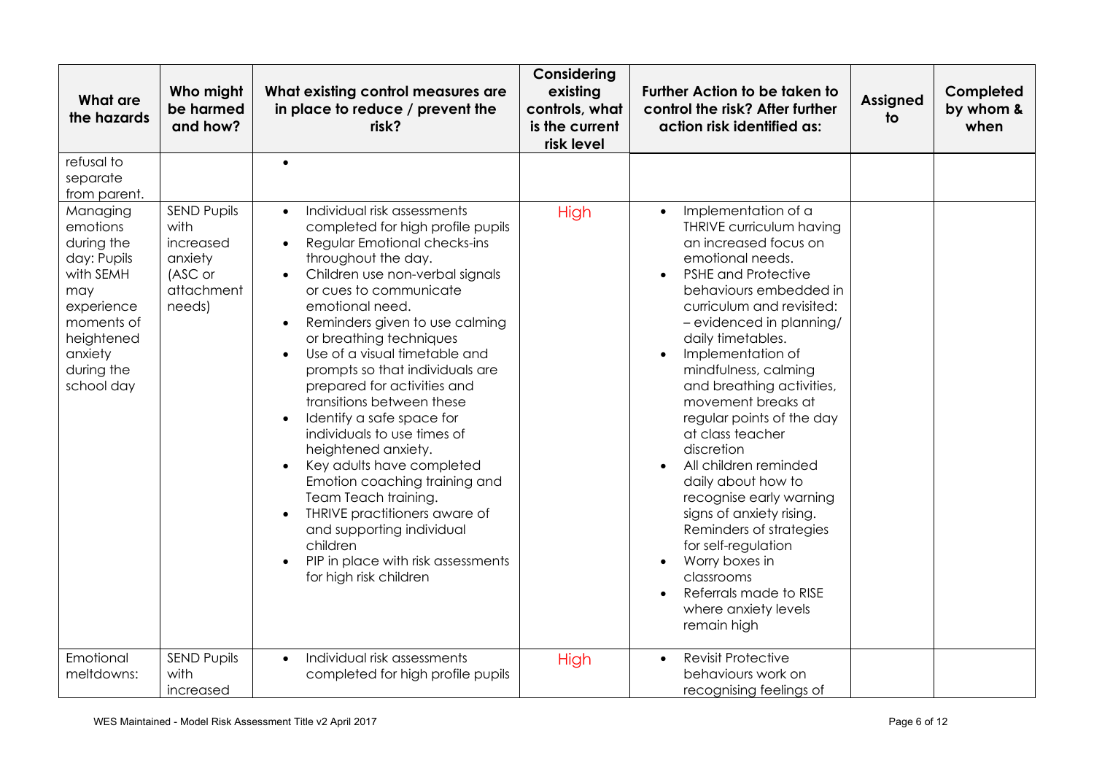| <b>What are</b><br>the hazards                                                                                                                         | Who might<br>be harmed<br>and how?                                                    | What existing control measures are<br>in place to reduce / prevent the<br>risk?                                                                                                                                                                                                                                                                                                                                                                                                                                                                                                                                                                                                                                                                                                          | Considering<br>existing<br>controls, what<br>is the current<br>risk level | Further Action to be taken to<br>control the risk? After further<br>action risk identified as:                                                                                                                                                                                                                                                                                                                                                                                                                                                                                                                                                                                                                                     | <b>Assigned</b><br>to | Completed<br>by whom &<br>when |
|--------------------------------------------------------------------------------------------------------------------------------------------------------|---------------------------------------------------------------------------------------|------------------------------------------------------------------------------------------------------------------------------------------------------------------------------------------------------------------------------------------------------------------------------------------------------------------------------------------------------------------------------------------------------------------------------------------------------------------------------------------------------------------------------------------------------------------------------------------------------------------------------------------------------------------------------------------------------------------------------------------------------------------------------------------|---------------------------------------------------------------------------|------------------------------------------------------------------------------------------------------------------------------------------------------------------------------------------------------------------------------------------------------------------------------------------------------------------------------------------------------------------------------------------------------------------------------------------------------------------------------------------------------------------------------------------------------------------------------------------------------------------------------------------------------------------------------------------------------------------------------------|-----------------------|--------------------------------|
| refusal to<br>separate<br>from parent.                                                                                                                 |                                                                                       | $\bullet$                                                                                                                                                                                                                                                                                                                                                                                                                                                                                                                                                                                                                                                                                                                                                                                |                                                                           |                                                                                                                                                                                                                                                                                                                                                                                                                                                                                                                                                                                                                                                                                                                                    |                       |                                |
| Managing<br>emotions<br>during the<br>day: Pupils<br>with SEMH<br>may<br>experience<br>moments of<br>heightened<br>anxiety<br>during the<br>school day | <b>SEND Pupils</b><br>with<br>increased<br>anxiety<br>(ASC or<br>attachment<br>needs) | Individual risk assessments<br>$\bullet$<br>completed for high profile pupils<br>Regular Emotional checks-ins<br>throughout the day.<br>Children use non-verbal signals<br>or cues to communicate<br>emotional need.<br>Reminders given to use calming<br>$\bullet$<br>or breathing techniques<br>Use of a visual timetable and<br>$\bullet$<br>prompts so that individuals are<br>prepared for activities and<br>transitions between these<br>Identify a safe space for<br>$\bullet$<br>individuals to use times of<br>heightened anxiety.<br>Key adults have completed<br>$\bullet$<br>Emotion coaching training and<br>Team Teach training.<br>THRIVE practitioners aware of<br>and supporting individual<br>children<br>PIP in place with risk assessments<br>for high risk children | High                                                                      | Implementation of a<br>$\bullet$<br><b>THRIVE curriculum having</b><br>an increased focus on<br>emotional needs.<br><b>PSHE and Protective</b><br>behaviours embedded in<br>curriculum and revisited:<br>- evidenced in planning/<br>daily timetables.<br>Implementation of<br>$\bullet$<br>mindfulness, calming<br>and breathing activities,<br>movement breaks at<br>regular points of the day<br>at class teacher<br>discretion<br>All children reminded<br>$\bullet$<br>daily about how to<br>recognise early warning<br>signs of anxiety rising.<br>Reminders of strategies<br>for self-regulation<br>Worry boxes in<br>$\bullet$<br>classrooms<br>Referrals made to RISE<br>$\bullet$<br>where anxiety levels<br>remain high |                       |                                |
| Emotional<br>meltdowns:                                                                                                                                | <b>SEND Pupils</b><br>with<br>increased                                               | Individual risk assessments<br>$\bullet$<br>completed for high profile pupils                                                                                                                                                                                                                                                                                                                                                                                                                                                                                                                                                                                                                                                                                                            | <b>High</b>                                                               | <b>Revisit Protective</b><br>$\bullet$<br>behaviours work on<br>recognising feelings of                                                                                                                                                                                                                                                                                                                                                                                                                                                                                                                                                                                                                                            |                       |                                |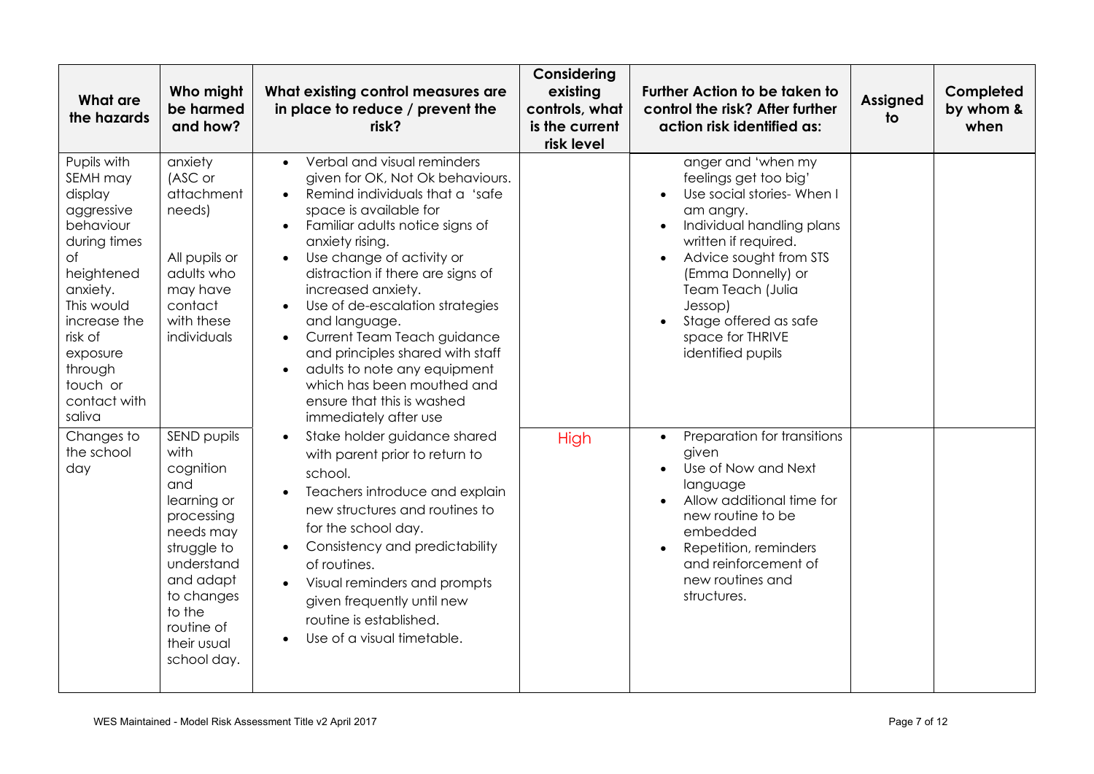| What are<br>the hazards                                                                                                                                                                                             | Who might<br>be harmed<br>and how?                                                                                                                                                              | What existing control measures are<br>in place to reduce / prevent the<br>risk?                                                                                                                                                                                                                                                                                                                                                                                                                                                                                                         | Considering<br>existing<br>controls, what<br>is the current<br>risk level | <b>Further Action to be taken to</b><br>control the risk? After further<br>action risk identified as:                                                                                                                                                                                                                   | <b>Assigned</b><br>to | Completed<br>by whom &<br>when |
|---------------------------------------------------------------------------------------------------------------------------------------------------------------------------------------------------------------------|-------------------------------------------------------------------------------------------------------------------------------------------------------------------------------------------------|-----------------------------------------------------------------------------------------------------------------------------------------------------------------------------------------------------------------------------------------------------------------------------------------------------------------------------------------------------------------------------------------------------------------------------------------------------------------------------------------------------------------------------------------------------------------------------------------|---------------------------------------------------------------------------|-------------------------------------------------------------------------------------------------------------------------------------------------------------------------------------------------------------------------------------------------------------------------------------------------------------------------|-----------------------|--------------------------------|
| Pupils with<br>SEMH may<br>display<br>aggressive<br>behaviour<br>during times<br>Оf<br>heightened<br>anxiety.<br>This would<br>increase the<br>risk of<br>exposure<br>through<br>touch or<br>contact with<br>saliva | anxiety<br>(ASC or<br>attachment<br>needs)<br>All pupils or<br>adults who<br>may have<br>contact<br>with these<br>individuals                                                                   | Verbal and visual reminders<br>$\bullet$<br>given for OK, Not Ok behaviours.<br>Remind individuals that a 'safe<br>space is available for<br>Familiar adults notice signs of<br>$\bullet$<br>anxiety rising.<br>Use change of activity or<br>$\bullet$<br>distraction if there are signs of<br>increased anxiety.<br>Use of de-escalation strategies<br>and language.<br>Current Team Teach guidance<br>$\bullet$<br>and principles shared with staff<br>adults to note any equipment<br>$\bullet$<br>which has been mouthed and<br>ensure that this is washed<br>immediately after use |                                                                           | anger and 'when my<br>feelings get too big'<br>Use social stories- When I<br>am angry.<br>Individual handling plans<br>$\bullet$<br>written if required.<br>Advice sought from STS<br>$\bullet$<br>(Emma Donnelly) or<br>Team Teach (Julia<br>Jessop)<br>Stage offered as safe<br>space for THRIVE<br>identified pupils |                       |                                |
| Changes to<br>the school<br>day                                                                                                                                                                                     | SEND pupils<br>with<br>cognition<br>and<br>learning or<br>processing<br>needs may<br>struggle to<br>understand<br>and adapt<br>to changes<br>to the<br>routine of<br>their usual<br>school day. | Stake holder guidance shared<br>$\bullet$<br>with parent prior to return to<br>school.<br>Teachers introduce and explain<br>new structures and routines to<br>for the school day.<br>Consistency and predictability<br>$\bullet$<br>of routines.<br>Visual reminders and prompts<br>given frequently until new<br>routine is established.<br>Use of a visual timetable.<br>$\bullet$                                                                                                                                                                                                    | High                                                                      | Preparation for transitions<br>$\bullet$<br>given<br>Use of Now and Next<br>language<br>Allow additional time for<br>new routine to be<br>embedded<br>Repetition, reminders<br>and reinforcement of<br>new routines and<br>structures.                                                                                  |                       |                                |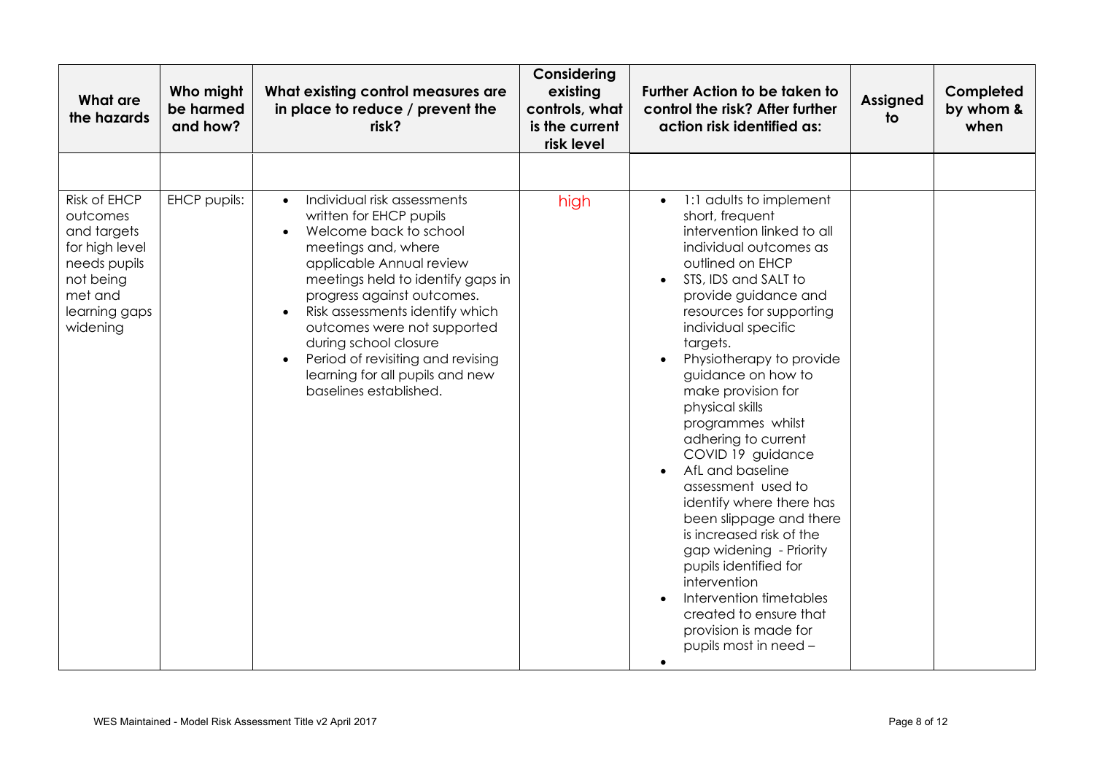| <b>What are</b><br>the hazards                                                                                                 | Who might<br>be harmed<br>and how? | What existing control measures are<br>in place to reduce / prevent the<br>risk?                                                                                                                                                                                                                                                                                                                                  | Considering<br>existing<br>controls, what<br>is the current<br>risk level | <b>Further Action to be taken to</b><br>control the risk? After further<br>action risk identified as:                                                                                                                                                                                                                                                                                                                                                                 | <b>Assigned</b><br>to | Completed<br>by whom &<br>when |
|--------------------------------------------------------------------------------------------------------------------------------|------------------------------------|------------------------------------------------------------------------------------------------------------------------------------------------------------------------------------------------------------------------------------------------------------------------------------------------------------------------------------------------------------------------------------------------------------------|---------------------------------------------------------------------------|-----------------------------------------------------------------------------------------------------------------------------------------------------------------------------------------------------------------------------------------------------------------------------------------------------------------------------------------------------------------------------------------------------------------------------------------------------------------------|-----------------------|--------------------------------|
| Risk of EHCP<br>outcomes<br>and targets<br>for high level<br>needs pupils<br>not being<br>met and<br>learning gaps<br>widening | EHCP pupils:                       | Individual risk assessments<br>$\bullet$<br>written for EHCP pupils<br>Welcome back to school<br>meetings and, where<br>applicable Annual review<br>meetings held to identify gaps in<br>progress against outcomes.<br>Risk assessments identify which<br>outcomes were not supported<br>during school closure<br>Period of revisiting and revising<br>learning for all pupils and new<br>baselines established. | high                                                                      | 1:1 adults to implement<br>$\bullet$<br>short, frequent<br>intervention linked to all<br>individual outcomes as<br>outlined on EHCP<br>STS, IDS and SALT to<br>provide guidance and<br>resources for supporting<br>individual specific<br>targets.<br>Physiotherapy to provide<br>guidance on how to<br>make provision for<br>physical skills<br>programmes whilst<br>adhering to current<br>COVID 19 guidance<br>AfL and baseline<br>$\bullet$<br>assessment used to |                       |                                |
|                                                                                                                                |                                    |                                                                                                                                                                                                                                                                                                                                                                                                                  |                                                                           | identify where there has<br>been slippage and there<br>is increased risk of the<br>gap widening - Priority<br>pupils identified for<br>intervention<br>Intervention timetables<br>created to ensure that<br>provision is made for<br>pupils most in need -<br>$\bullet$                                                                                                                                                                                               |                       |                                |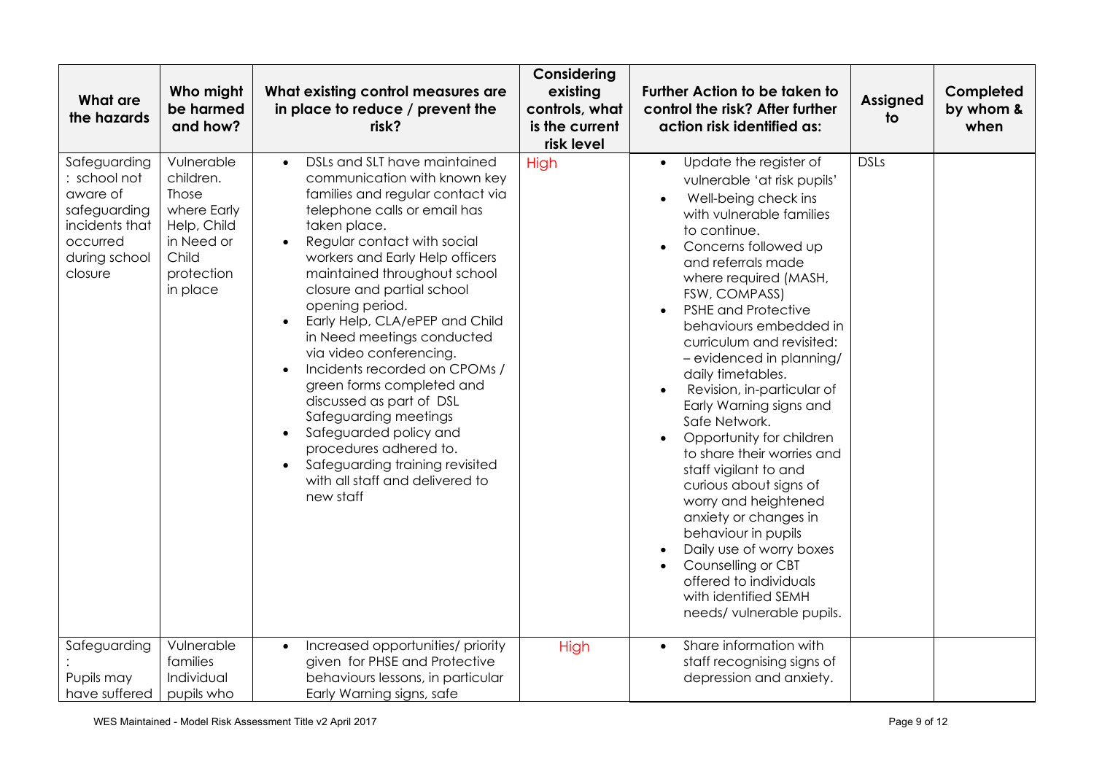| <b>What are</b><br>the hazards                                                                                     | Who might<br>be harmed<br>and how?                                                                              | What existing control measures are<br>in place to reduce / prevent the<br>risk?                                                                                                                                                                                                                                                                                                                                                                                                                                                                                                                                                                                                                 | Considering<br>existing<br>controls, what<br>is the current<br>risk level | <b>Further Action to be taken to</b><br>control the risk? After further<br>action risk identified as:                                                                                                                                                                                                                                                                                                                                                                                                                                                                                                                                                                                                                                                                                                       | <b>Assigned</b><br>to | Completed<br>by whom &<br>when |
|--------------------------------------------------------------------------------------------------------------------|-----------------------------------------------------------------------------------------------------------------|-------------------------------------------------------------------------------------------------------------------------------------------------------------------------------------------------------------------------------------------------------------------------------------------------------------------------------------------------------------------------------------------------------------------------------------------------------------------------------------------------------------------------------------------------------------------------------------------------------------------------------------------------------------------------------------------------|---------------------------------------------------------------------------|-------------------------------------------------------------------------------------------------------------------------------------------------------------------------------------------------------------------------------------------------------------------------------------------------------------------------------------------------------------------------------------------------------------------------------------------------------------------------------------------------------------------------------------------------------------------------------------------------------------------------------------------------------------------------------------------------------------------------------------------------------------------------------------------------------------|-----------------------|--------------------------------|
| Safeguarding<br>: school not<br>aware of<br>safeguarding<br>incidents that<br>occurred<br>during school<br>closure | Vulnerable<br>children.<br>Those<br>where Early<br>Help, Child<br>in Need or<br>Child<br>protection<br>in place | DSLs and SLT have maintained<br>$\bullet$<br>communication with known key<br>families and regular contact via<br>telephone calls or email has<br>taken place.<br>Regular contact with social<br>workers and Early Help officers<br>maintained throughout school<br>closure and partial school<br>opening period.<br>Early Help, CLA/ePEP and Child<br>$\bullet$<br>in Need meetings conducted<br>via video conferencing.<br>Incidents recorded on CPOMs /<br>green forms completed and<br>discussed as part of DSL<br>Safeguarding meetings<br>Safeguarded policy and<br>$\bullet$<br>procedures adhered to.<br>Safeguarding training revisited<br>with all staff and delivered to<br>new staff | High                                                                      | Update the register of<br>$\bullet$<br>vulnerable 'at risk pupils'<br>Well-being check ins<br>with vulnerable families<br>to continue.<br>Concerns followed up<br>$\bullet$<br>and referrals made<br>where required (MASH,<br>FSW, COMPASS)<br><b>PSHE and Protective</b><br>$\bullet$<br>behaviours embedded in<br>curriculum and revisited:<br>- evidenced in planning/<br>daily timetables.<br>Revision, in-particular of<br>$\bullet$<br>Early Warning signs and<br>Safe Network.<br>Opportunity for children<br>to share their worries and<br>staff vigilant to and<br>curious about signs of<br>worry and heightened<br>anxiety or changes in<br>behaviour in pupils<br>Daily use of worry boxes<br>Counselling or CBT<br>offered to individuals<br>with identified SEMH<br>needs/ vulnerable pupils. | <b>DSLs</b>           |                                |
| Safeguarding<br>Pupils may<br>have suffered                                                                        | Vulnerable<br>families<br>Individual<br>pupils who                                                              | Increased opportunities/ priority<br>$\bullet$<br>given for PHSE and Protective<br>behaviours lessons, in particular<br>Early Warning signs, safe                                                                                                                                                                                                                                                                                                                                                                                                                                                                                                                                               | High                                                                      | Share information with<br>$\bullet$<br>staff recognising signs of<br>depression and anxiety.                                                                                                                                                                                                                                                                                                                                                                                                                                                                                                                                                                                                                                                                                                                |                       |                                |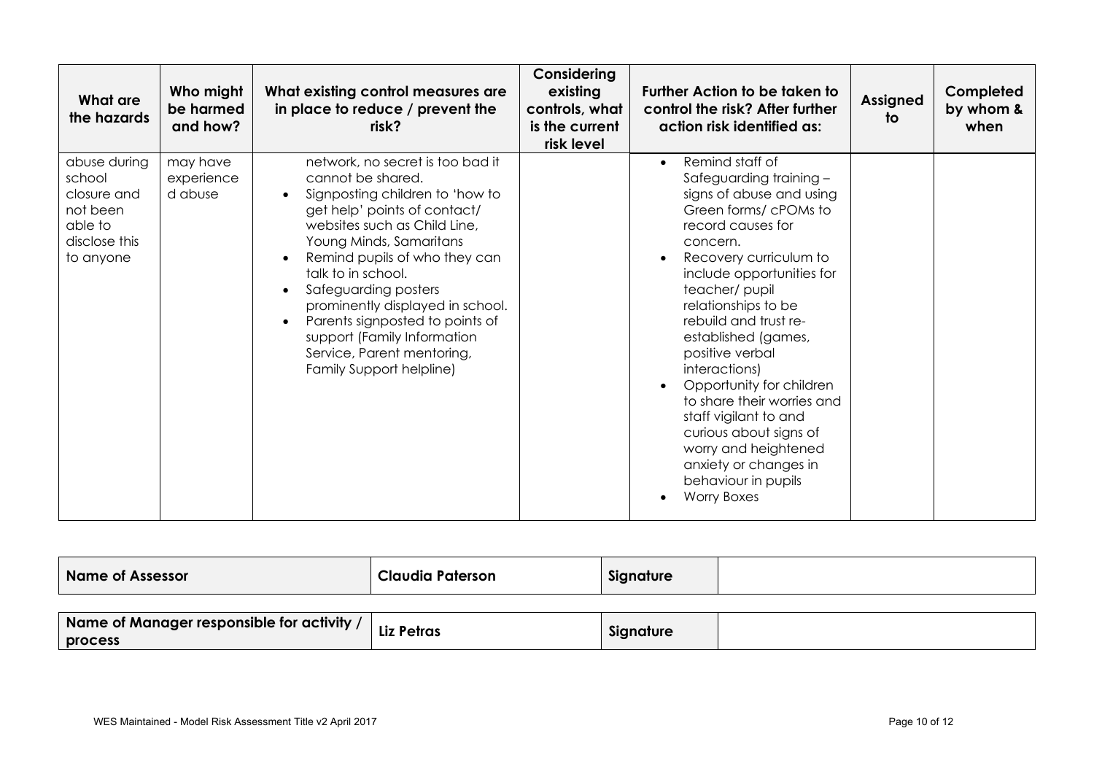| What are<br>the hazards                                                                    | Who might<br>be harmed<br>and how? | What existing control measures are<br>in place to reduce / prevent the<br>risk?                                                                                                                                                                                                                                                                                                                                                                              | Considering<br>existing<br>controls, what<br>is the current<br>risk level | <b>Further Action to be taken to</b><br>control the risk? After further<br>action risk identified as:                                                                                                                                                                                                                                                                                                                                                                                                                                      | <b>Assigned</b><br>to | Completed<br>by whom &<br>when |
|--------------------------------------------------------------------------------------------|------------------------------------|--------------------------------------------------------------------------------------------------------------------------------------------------------------------------------------------------------------------------------------------------------------------------------------------------------------------------------------------------------------------------------------------------------------------------------------------------------------|---------------------------------------------------------------------------|--------------------------------------------------------------------------------------------------------------------------------------------------------------------------------------------------------------------------------------------------------------------------------------------------------------------------------------------------------------------------------------------------------------------------------------------------------------------------------------------------------------------------------------------|-----------------------|--------------------------------|
| abuse during<br>school<br>closure and<br>not been<br>able to<br>disclose this<br>to anyone | may have<br>experience<br>d abuse  | network, no secret is too bad it<br>cannot be shared.<br>Signposting children to 'how to<br>$\bullet$<br>get help' points of contact/<br>websites such as Child Line,<br>Young Minds, Samaritans<br>Remind pupils of who they can<br>talk to in school.<br>Safeguarding posters<br>prominently displayed in school.<br>Parents signposted to points of<br>$\bullet$<br>support (Family Information<br>Service, Parent mentoring,<br>Family Support helpline) |                                                                           | Remind staff of<br>$\bullet$<br>Safeguarding training -<br>signs of abuse and using<br>Green forms/cPOMs to<br>record causes for<br>concern.<br>Recovery curriculum to<br>include opportunities for<br>teacher/pupil<br>relationships to be<br>rebuild and trust re-<br>established (games,<br>positive verbal<br>interactions)<br>Opportunity for children<br>to share their worries and<br>staff vigilant to and<br>curious about signs of<br>worry and heightened<br>anxiety or changes in<br>behaviour in pupils<br><b>Worry Boxes</b> |                       |                                |

| Name of Assessor                                              | <b>Claudia Paterson</b> | Signature |  |
|---------------------------------------------------------------|-------------------------|-----------|--|
|                                                               |                         |           |  |
| $\blacksquare$ Mause of Mausensus versonalele for a albebraic |                         |           |  |

| Name of Manager responsible for activity, | <b>The Petras</b> | Signature |  |
|-------------------------------------------|-------------------|-----------|--|
| <b>process</b>                            |                   |           |  |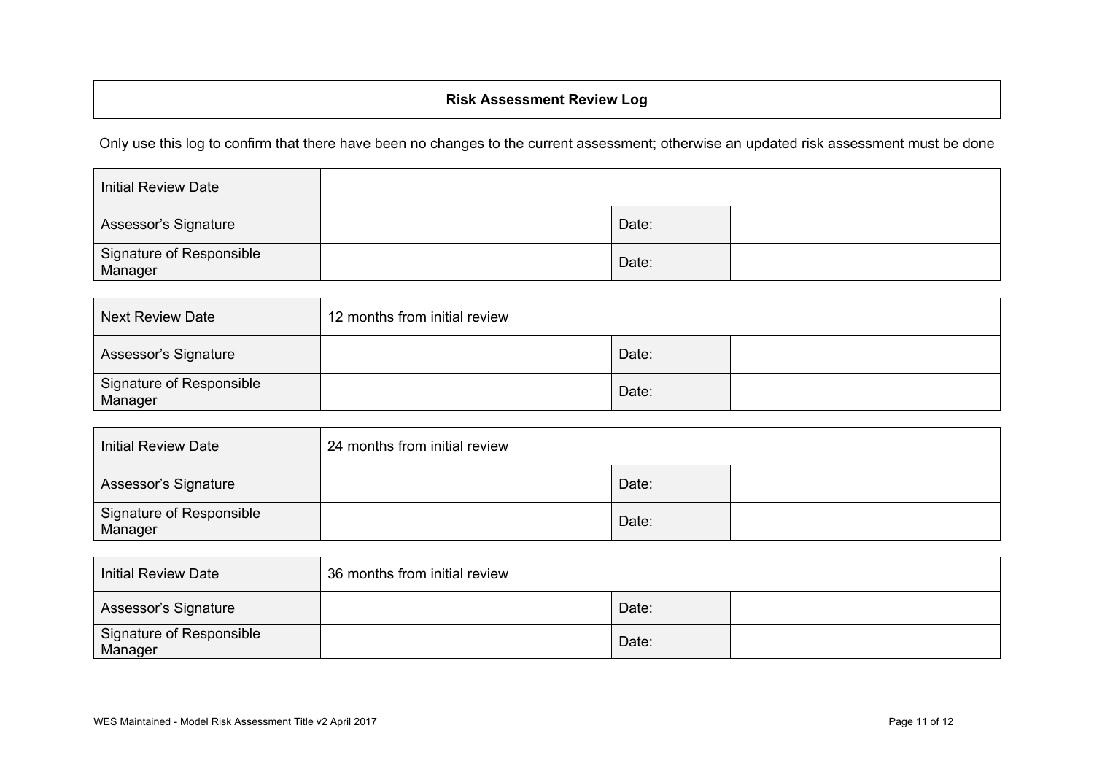## **Risk Assessment Review Log**

Only use this log to confirm that there have been no changes to the current assessment; otherwise an updated risk assessment must be done

| <b>Initial Review Date</b>          |       |  |
|-------------------------------------|-------|--|
| Assessor's Signature                | Date: |  |
| Signature of Responsible<br>Manager | Date: |  |

| <b>Next Review Date</b>             | 12 months from initial review |       |  |
|-------------------------------------|-------------------------------|-------|--|
| Assessor's Signature                |                               | Date: |  |
| Signature of Responsible<br>Manager |                               | Date: |  |

| <b>Initial Review Date</b>          | 24 months from initial review |       |  |
|-------------------------------------|-------------------------------|-------|--|
| Assessor's Signature                |                               | Date: |  |
| Signature of Responsible<br>Manager |                               | Date: |  |

| Initial Review Date                 | 36 months from initial review |       |  |
|-------------------------------------|-------------------------------|-------|--|
| Assessor's Signature                |                               | Date: |  |
| Signature of Responsible<br>Manager |                               | Date: |  |